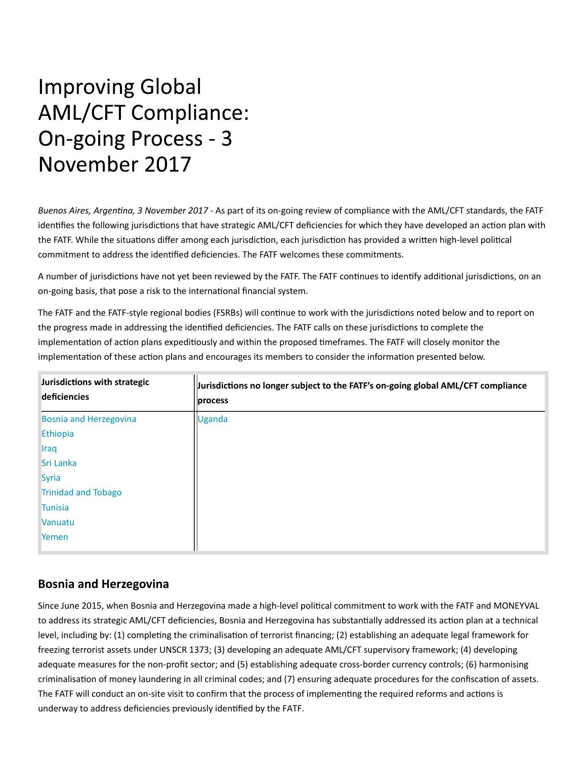# **Improving Global AML/CFT Compliance: On-going Process - 3** November 2017

Buenos Aires, Argentina, 3 November 2017 - As part of its on-going review of compliance with the AML/CFT standards, the FATF identifies the following jurisdictions that have strategic AML/CFT deficiencies for which they have developed an action plan with the FATF. While the situations differ among each jurisdiction, each jurisdiction has provided a written high-level political commitment to address the identified deficiencies. The FATF welcomes these commitments.

A number of jurisdictions have not yet been reviewed by the FATF. The FATF continues to identify additional jurisdictions, on an on-going basis, that pose a risk to the international financial system.

The FATF and the FATF-style regional bodies (FSRBs) will continue to work with the jurisdictions noted below and to report on the progress made in addressing the identified deficiencies. The FATF calls on these jurisdictions to complete the implementation of action plans expeditiously and within the proposed timeframes. The FATF will closely monitor the implementation of these action plans and encourages its members to consider the information presented below.

| Jurisdictions with strategic<br>deficiencies | Jurisdictions no longer subject to the FATF's on-going global AML/CFT compliance<br>process |
|----------------------------------------------|---------------------------------------------------------------------------------------------|
| <b>Bosnia and Herzegovina</b>                | <b>Uganda</b>                                                                               |
| Ethiopia                                     |                                                                                             |
| <b>Iraq</b>                                  |                                                                                             |
| Sri Lanka                                    |                                                                                             |
| Syria                                        |                                                                                             |
| <b>Trinidad and Tobago</b>                   |                                                                                             |
| <b>Tunisia</b>                               |                                                                                             |
| Vanuatu                                      |                                                                                             |
| Yemen                                        |                                                                                             |

## **Bosnia and Herzegovina**

Since June 2015, when Bosnia and Herzegovina made a high-level political commitment to work with the FATF and MONEYVAL to address its strategic AML/CFT deficiencies, Bosnia and Herzegovina has substantially addressed its action plan at a technical level, including by: (1) completing the criminalisation of terrorist financing; (2) establishing an adequate legal framework for freezing terrorist assets under UNSCR 1373; (3) developing an adequate AML/CFT supervisory framework; (4) developing adequate measures for the non-profit sector; and (5) establishing adequate cross-border currency controls; (6) harmonising criminalisation of money laundering in all criminal codes; and (7) ensuring adequate procedures for the confiscation of assets. The FATF will conduct an on-site visit to confirm that the process of implementing the required reforms and actions is underway to address deficiencies previously identified by the FATF.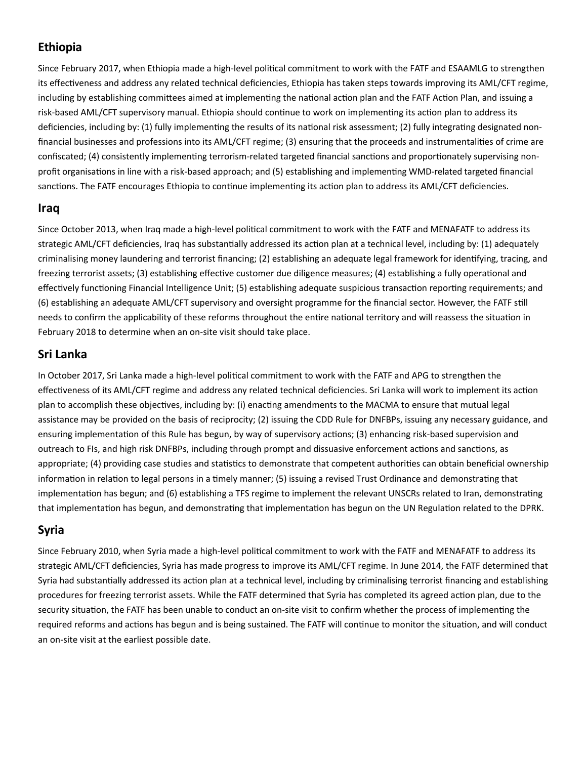## **Ethiopia**

Since February 2017, when Ethiopia made a high-level political commitment to work with the FATF and ESAAMLG to strengthen its effectiveness and address any related technical deficiencies, Ethiopia has taken steps towards improving its AML/CFT regime, including by establishing committees aimed at implementing the national action plan and the FATF Action Plan, and issuing a risk-based AML/CFT supervisory manual. Ethiopia should continue to work on implementing its action plan to address its deficiencies, including by: (1) fully implementing the results of its national risk assessment; (2) fully integrating designated nonfinancial businesses and professions into its AML/CFT regime; (3) ensuring that the proceeds and instrumentalities of crime are confiscated; (4) consistently implementing terrorism-related targeted financial sanctions and proportionately supervising nonprofit organisations in line with a risk-based approach; and (5) establishing and implementing WMD-related targeted financial sanctions. The FATF encourages Ethiopia to continue implementing its action plan to address its AML/CFT deficiencies.

#### **Iraq**

Since October 2013, when Iraq made a high-level political commitment to work with the FATF and MENAFATF to address its strategic AML/CFT deficiencies, Iraq has substantially addressed its action plan at a technical level, including by: (1) adequately criminalising money laundering and terrorist financing; (2) establishing an adequate legal framework for identifying, tracing, and freezing terrorist assets; (3) establishing effective customer due diligence measures; (4) establishing a fully operational and effectively functioning Financial Intelligence Unit; (5) establishing adequate suspicious transaction reporting requirements; and (6) establishing an adequate AML/CFT supervisory and oversight programme for the financial sector. However, the FATF still needs to confirm the applicability of these reforms throughout the entire national territory and will reassess the situation in February 2018 to determine when an on‐site visit should take place.

## **Sri Lanka**

In October 2017, Sri Lanka made a high-level political commitment to work with the FATF and APG to strengthen the effectiveness of its AML/CFT regime and address any related technical deficiencies. Sri Lanka will work to implement its action plan to accomplish these objectives, including by: (i) enacting amendments to the MACMA to ensure that mutual legal assistance may be provided on the basis of reciprocity; (2) issuing the CDD Rule for DNFBPs, issuing any necessary guidance, and ensuring implementation of this Rule has begun, by way of supervisory actions; (3) enhancing risk-based supervision and outreach to FIs, and high risk DNFBPs, including through prompt and dissuasive enforcement actions and sanctions, as appropriate; (4) providing case studies and statistics to demonstrate that competent authorities can obtain beneficial ownership information in relation to legal persons in a timely manner; (5) issuing a revised Trust Ordinance and demonstrating that implementation has begun; and (6) establishing a TFS regime to implement the relevant UNSCRs related to Iran, demonstrating that implementation has begun, and demonstrating that implementation has begun on the UN Regulation related to the DPRK.

## **Syria**

Since February 2010, when Syria made a high-level political commitment to work with the FATF and MENAFATF to address its strategic AML/CFT deficiencies, Syria has made progress to improve its AML/CFT regime. In June 2014, the FATF determined that Syria had substantially addressed its action plan at a technical level, including by criminalising terrorist financing and establishing procedures for freezing terrorist assets. While the FATF determined that Syria has completed its agreed action plan, due to the security situation, the FATF has been unable to conduct an on-site visit to confirm whether the process of implementing the required reforms and actions has begun and is being sustained. The FATF will continue to monitor the situation, and will conduct an on‐site visit at the earliest possible date.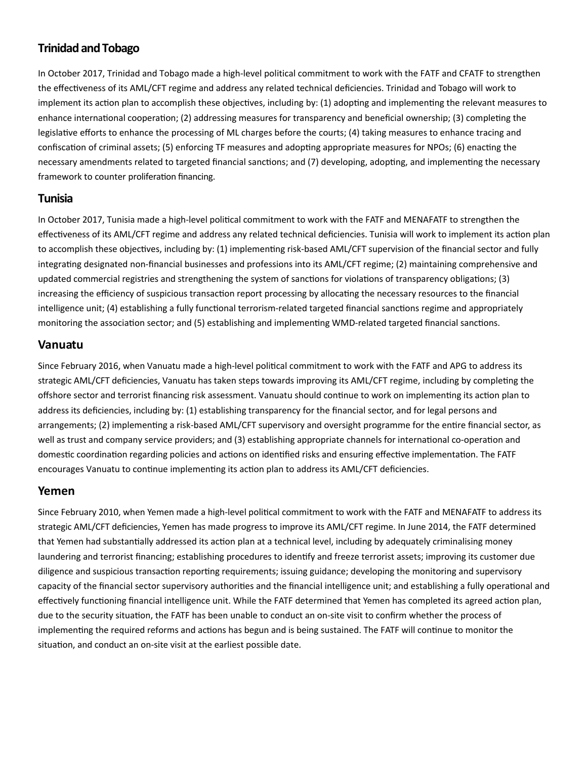## **Trinidad and Tobago**

In October 2017, Trinidad and Tobago made a high-level political commitment to work with the FATF and CFATF to strengthen the effectiveness of its AML/CFT regime and address any related technical deficiencies. Trinidad and Tobago will work to implement its action plan to accomplish these objectives, including by: (1) adopting and implementing the relevant measures to enhance international cooperation; (2) addressing measures for transparency and beneficial ownership; (3) completing the legislative efforts to enhance the processing of ML charges before the courts; (4) taking measures to enhance tracing and confiscation of criminal assets; (5) enforcing TF measures and adopting appropriate measures for NPOs; (6) enacting the necessary amendments related to targeted financial sanctions; and (7) developing, adopting, and implementing the necessary framework to counter proliferation financing.

#### **Tunisia**

In October 2017, Tunisia made a high-level political commitment to work with the FATF and MENAFATF to strengthen the effectiveness of its AML/CFT regime and address any related technical deficiencies. Tunisia will work to implement its action plan to accomplish these objectives, including by: (1) implementing risk-based AML/CFT supervision of the financial sector and fully integrating designated non-financial businesses and professions into its AML/CFT regime; (2) maintaining comprehensive and updated commercial registries and strengthening the system of sanctions for violations of transparency obligations; (3) increasing the efficiency of suspicious transaction report processing by allocating the necessary resources to the financial intelligence unit; (4) establishing a fully functional terrorism-related targeted financial sanctions regime and appropriately monitoring the association sector; and (5) establishing and implementing WMD-related targeted financial sanctions.

#### **Vanuatu**

Since February 2016, when Vanuatu made a high-level political commitment to work with the FATF and APG to address its strategic AML/CFT deficiencies, Vanuatu has taken steps towards improving its AML/CFT regime, including by completing the offshore sector and terrorist financing risk assessment. Vanuatu should continue to work on implementing its action plan to address its deficiencies, including by: (1) establishing transparency for the financial sector, and for legal persons and arrangements; (2) implementing a risk-based AML/CFT supervisory and oversight programme for the entire financial sector, as well as trust and company service providers; and (3) establishing appropriate channels for international co-operation and domestic coordination regarding policies and actions on identified risks and ensuring effective implementation. The FATF encourages Vanuatu to continue implementing its action plan to address its AML/CFT deficiencies.

#### **Yemen**

Since February 2010, when Yemen made a high-level political commitment to work with the FATF and MENAFATF to address its strategic AML/CFT deficiencies, Yemen has made progress to improve its AML/CFT regime. In June 2014, the FATF determined that Yemen had substantially addressed its action plan at a technical level, including by adequately criminalising money laundering and terrorist financing; establishing procedures to identify and freeze terrorist assets; improving its customer due diligence and suspicious transaction reporting requirements; issuing guidance; developing the monitoring and supervisory capacity of the financial sector supervisory authorities and the financial intelligence unit; and establishing a fully operational and effectively functioning financial intelligence unit. While the FATF determined that Yemen has completed its agreed action plan, due to the security situation, the FATF has been unable to conduct an on-site visit to confirm whether the process of implementing the required reforms and actions has begun and is being sustained. The FATF will continue to monitor the situation, and conduct an on-site visit at the earliest possible date.